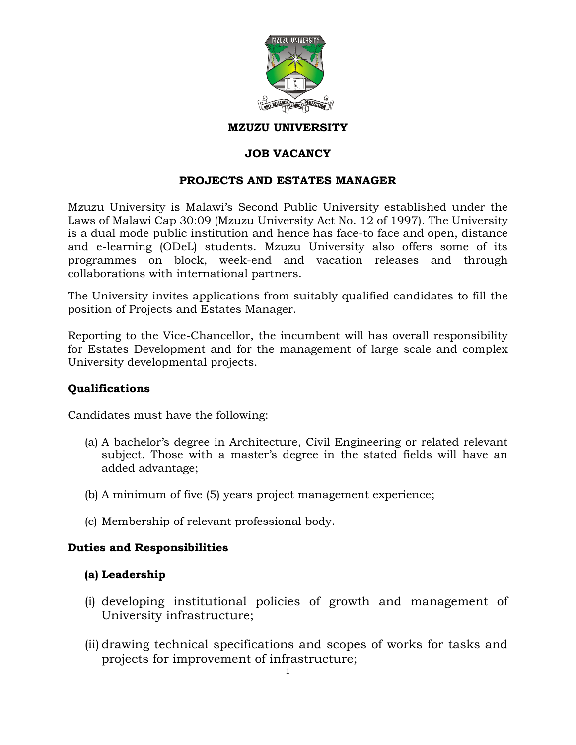

#### **MZUZU UNIVERSITY**

### **JOB VACANCY**

#### **PROJECTS AND ESTATES MANAGER**

Mzuzu University is Malawi's Second Public University established under the Laws of Malawi Cap 30:09 (Mzuzu University Act No. 12 of 1997). The University is a dual mode public institution and hence has face-to face and open, distance and e-learning (ODeL) students. Mzuzu University also offers some of its programmes on block, week-end and vacation releases and through collaborations with international partners.

The University invites applications from suitably qualified candidates to fill the position of Projects and Estates Manager.

Reporting to the Vice-Chancellor, the incumbent will has overall responsibility for Estates Development and for the management of large scale and complex University developmental projects.

#### **Qualifications**

Candidates must have the following:

- (a) A bachelor's degree in Architecture, Civil Engineering or related relevant subject. Those with a master's degree in the stated fields will have an added advantage;
- (b) A minimum of five (5) years project management experience;
- (c) Membership of relevant professional body.

#### **Duties and Responsibilities**

#### **(a) Leadership**

- (i) developing institutional policies of growth and management of University infrastructure;
- (ii) drawing technical specifications and scopes of works for tasks and projects for improvement of infrastructure;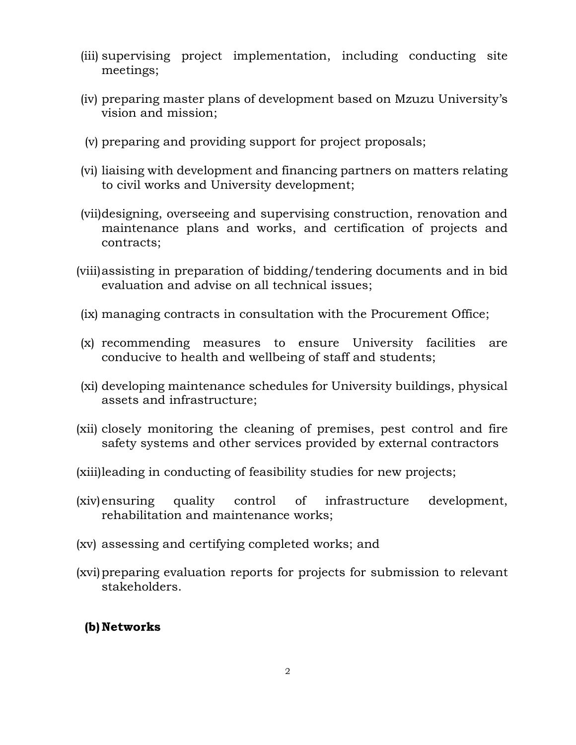- (iii) supervising project implementation, including conducting site meetings;
- (iv) preparing master plans of development based on Mzuzu University's vision and mission;
- (v) preparing and providing support for project proposals;
- (vi) liaising with development and financing partners on matters relating to civil works and University development;
- (vii)designing, overseeing and supervising construction, renovation and maintenance plans and works, and certification of projects and contracts;
- (viii)assisting in preparation of bidding/tendering documents and in bid evaluation and advise on all technical issues;
- (ix) managing contracts in consultation with the Procurement Office;
- (x) recommending measures to ensure University facilities are conducive to health and wellbeing of staff and students;
- (xi) developing maintenance schedules for University buildings, physical assets and infrastructure;
- (xii) closely monitoring the cleaning of premises, pest control and fire safety systems and other services provided by external contractors
- (xiii)leading in conducting of feasibility studies for new projects;
- (xiv)ensuring quality control of infrastructure development, rehabilitation and maintenance works;
- (xv) assessing and certifying completed works; and
- (xvi)preparing evaluation reports for projects for submission to relevant stakeholders.

## **(b) Networks**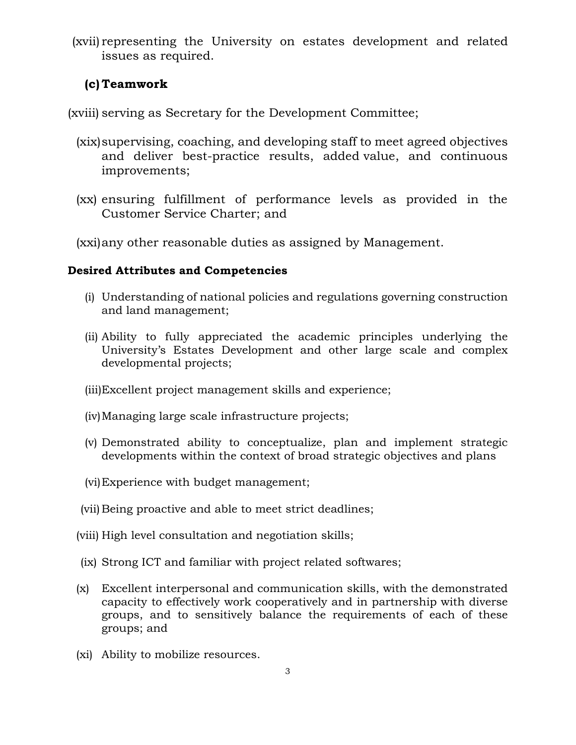(xvii) representing the University on estates development and related issues as required.

## **(c) Teamwork**

(xviii) serving as Secretary for the Development Committee;

- (xix)supervising, coaching, and developing staff to meet agreed objectives and deliver best-practice results, added value, and continuous improvements;
- (xx) ensuring fulfillment of performance levels as provided in the Customer Service Charter; and

(xxi)any other reasonable duties as assigned by Management.

## **Desired Attributes and Competencies**

- (i) Understanding of national policies and regulations governing construction and land management;
- (ii) Ability to fully appreciated the academic principles underlying the University's Estates Development and other large scale and complex developmental projects;
- (iii)Excellent project management skills and experience;
- (iv)Managing large scale infrastructure projects;
- (v) Demonstrated ability to conceptualize, plan and implement strategic developments within the context of broad strategic objectives and plans
- (vi)Experience with budget management;
- (vii) Being proactive and able to meet strict deadlines;
- (viii) High level consultation and negotiation skills;
- (ix) Strong ICT and familiar with project related softwares;
- (x) Excellent interpersonal and communication skills, with the demonstrated capacity to effectively work cooperatively and in partnership with diverse groups, and to sensitively balance the requirements of each of these groups; and
- (xi) Ability to mobilize resources.